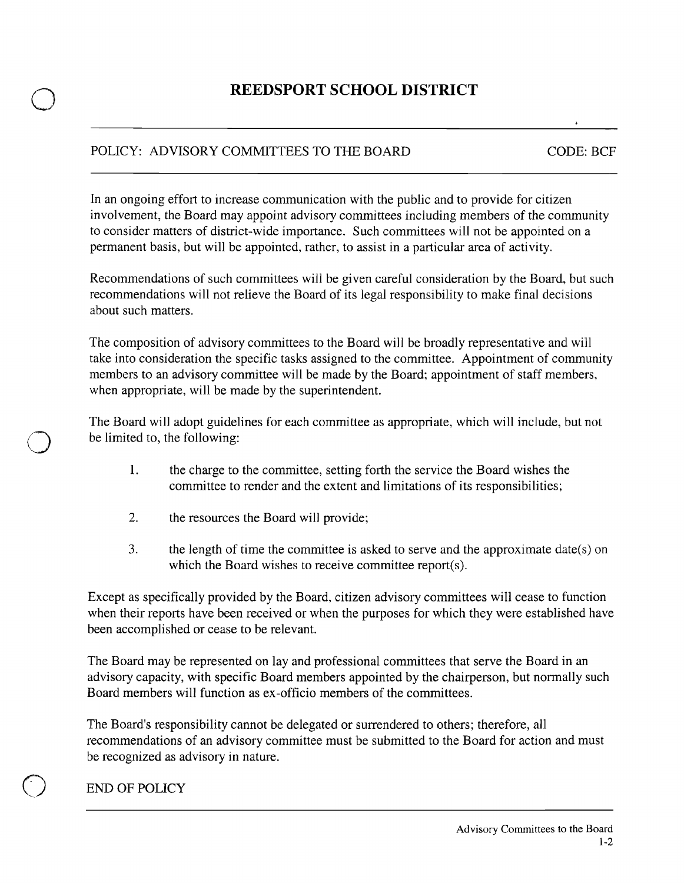## o **REEDSPORT SCHOOL DISTRICT**

## POLICY: ADVISORY COMMITTEES TO THE BOARD CODE: BCF

In an ongoing effort to increase communication with the public and to provide for citizen involvement, the Board may appoint advisory committees including members of the community to consider matters of district-wide importance. Such committees will not be appointed on a permanent basis, but will be appointed, rather, to assist in a particular area of activity.

Recommendations of such committees will be given careful consideration by the Board, but such recommendations will not relieve the Board of its legal responsibility to make final decisions about such matters.

The composition of advisory committees to the Board will be broadly representative and will take into consideration the specific tasks assigned to the committee. Appointment of community members to an advisory committee will be made by the Board; appointment of staff members, when appropriate, will be made by the superintendent.

The Board will adopt guidelines for each committee as appropriate, which will include, but not be limited to, the following:

- 1. the charge to the committee, setting forth the service the Board wishes the committee to render and the extent and limitations of its responsibilities;
- 2. the resources the Board will provide;
- 3. the length of time the committee is asked to serve and the approximate date(s) on which the Board wishes to receive committee report(s).

Except as specifically provided by the Board, citizen advisory committees will cease to function when their reports have been received or when the purposes for which they were established have been accomplished or cease to be relevant.

The Board may be represented on lay and professional committees that serve the Board in an advisory capacity, with specific Board members appointed by the chairperson, but normally such Board members will function as ex-officio members of the committees.

The Board's responsibility cannot be delegated or surrendered to others; therefore, all recommendations of an advisory committee must be submitted to the Board for action and must be recognized as advisory in nature.

## END OF POLICY